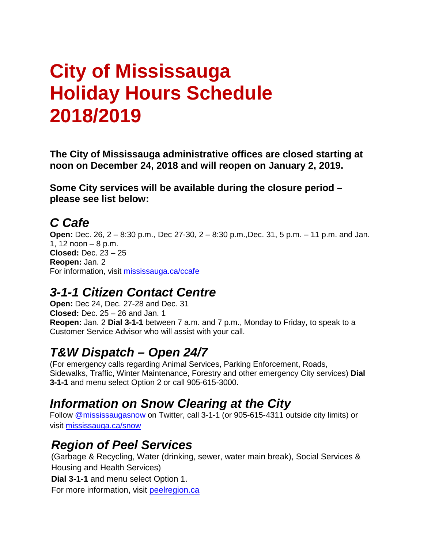# **City of Mississauga Holiday Hours Schedule 2018/2019**

**The City of Mississauga administrative offices are closed starting at noon on December 24, 2018 and will reopen on January 2, 2019.** 

**Some City services will be available during the closure period – please see list below:** 

#### *C Cafe*

**Open:** Dec. 26, 2 – 8:30 p.m., Dec 27-30, 2 – 8:30 p.m.,Dec. 31, 5 p.m. – 11 p.m. and Jan. 1, 12 noon – 8 p.m. **Closed:** Dec. 23 – 25 **Reopen:** Jan. 2 For information, visit mississauga.ca/ccafe

#### *3-1-1 Citizen Contact Centre*

**Open:** Dec 24, Dec. 27-28 and Dec. 31 **Closed:** Dec. 25 – 26 and Jan. 1 **Reopen:** Jan. 2 **Dial 3-1-1** between 7 a.m. and 7 p.m., Monday to Friday, to speak to a Customer Service Advisor who will assist with your call.

## *T&W Dispatch – Open 24/7*

(For emergency calls regarding Animal Services, Parking Enforcement, Roads, Sidewalks, Traffic, Winter Maintenance, Forestry and other emergency City services) **Dial 3-1-1** and menu select Option 2 or call 905-615-3000.

#### *Information on Snow Clearing at the City*

Follow @mississaugasnow on Twitter, call 3-1-1 (or 905-615-4311 outside city limits) or visit [mississauga.ca/snow](http://www.mississauga.ca/portal/residents/snowclearingoperations)

#### *Region of Peel Services*

(Garbage & Recycling, Water (drinking, sewer, water main break), Social Services & Housing and Health Services)

**Dial 3-1-1** and menu select Option 1.

For more information, visit peelregion.ca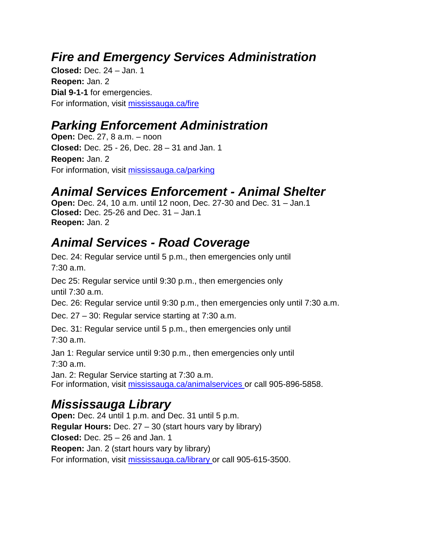#### *Fire and Emergency Services Administration*

**Closed:** Dec. 24 – Jan. 1 **Reopen:** Jan. 2 **Dial 9-1-1** for emergencies. For information, visit [mississauga.ca/fire](http://www.mississauga.ca/fire)

#### *Parking Enforcement Administration*

**Open:** Dec. 27, 8 a.m. – noon **Closed:** Dec. 25 - 26, Dec. 28 – 31 and Jan. 1 **Reopen:** Jan. 2 For information, visit [mississauga.ca/parking](http://www.mississauga.ca/parking)

## *Animal Services Enforcement - Animal Shelter*

**Open:** Dec. 24, 10 a.m. until 12 noon, Dec. 27-30 and Dec. 31 – Jan.1 **Closed:** Dec. 25-26 and Dec. 31 – Jan.1 **Reopen:** Jan. 2

## *Animal Services - Road Coverage*

Dec. 24: Regular service until 5 p.m., then emergencies only until 7:30 a.m.

Dec 25: Regular service until 9:30 p.m., then emergencies only until 7:30 a.m.

Dec. 26: Regular service until 9:30 p.m., then emergencies only until 7:30 a.m.

Dec. 27 – 30: Regular service starting at 7:30 a.m.

Dec. 31: Regular service until 5 p.m., then emergencies only until 7:30 a.m.

Jan 1: Regular service until 9:30 p.m., then emergencies only until 7:30 a.m.

Jan. 2: Regular Service starting at 7:30 a.m. For information, visit [mississauga.ca/animalservices o](http://www.mississauga.ca/portal/residents/animalservices)r call 905-896-5858.

## *Mississauga Library*

**Open:** Dec. 24 until 1 p.m. and Dec. 31 until 5 p.m. **Regular Hours:** Dec. 27 – 30 (start hours vary by library) **Closed:** Dec. 25 – 26 and Jan. 1 **Reopen:** Jan. 2 (start hours vary by library) For information, visit [mississauga.ca/library o](http://www.mississauga.ca/library)r call 905-615-3500.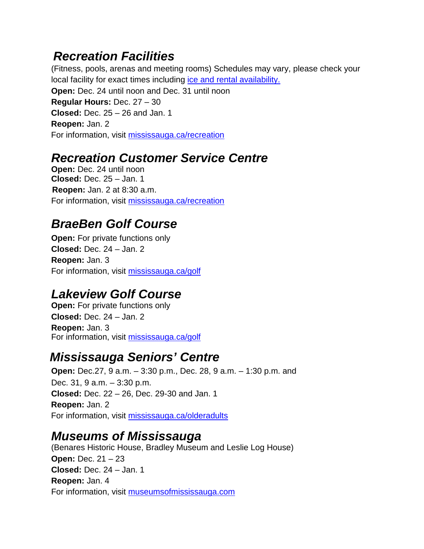#### *Recreation Facilities*

(Fitness, pools, arenas and meeting rooms) Schedules may vary, please check your local facility for exact times including ice and rental availability. **Open:** Dec. 24 until noon and Dec. 31 until noon **Regular Hours:** Dec. 27 – 30 **Closed:** Dec. 25 – 26 and Jan. 1 **Reopen:** Jan. 2 For information, visit [mississauga.ca/recreation](http://www.mississauga.ca/recreation)

#### *Recreation Customer Service Centre*

**Open:** Dec. 24 until noon **Closed:** Dec. 25 – Jan. 1 **Reopen:** Jan. 2 at 8:30 a.m. For information, visit [mississauga.ca/recreation](http://www.mississauga.ca/recreation)

## *BraeBen Golf Course*

**Open:** For private functions only **Closed:** Dec. 24 – Jan. 2 **Reopen:** Jan. 3 For information, visit [mississauga.ca/golf](http://www.mississauga.ca/golf)

# *Lakeview Golf Course*

**Open:** For private functions only **Closed:** Dec. 24 – Jan. 2 **Reopen:** Jan. 3 For information, visit [mississauga.ca/golf](http://www.mississauga.ca/golf)

## *Mississauga Seniors' Centre*

**Open:** Dec.27, 9 a.m. – 3:30 p.m., Dec. 28, 9 a.m. – 1:30 p.m. and Dec. 31, 9 a.m. – 3:30 p.m. **Closed:** Dec. 22 – 26, Dec. 29-30 and Jan. 1 **Reopen:** Jan. 2 For information, visit [mississauga.ca/olderadults](http://www.mississauga.ca/olderadults)

#### *Museums of Mississauga*

(Benares Historic House, Bradley Museum and Leslie Log House) **Open:** Dec. 21 – 23 **Closed:** Dec. 24 – Jan. 1 **Reopen:** Jan. 4 For information, visit [museumsofmississauga.com](http://www.museumsofmississauga.com/)